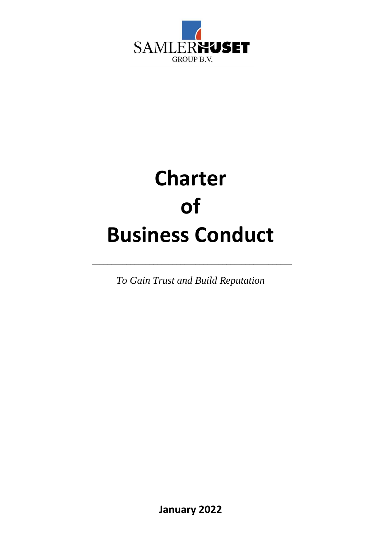

# **Charter of Business Conduct**

*To Gain Trust and Build Reputation* 

\_\_\_\_\_\_\_\_\_\_\_\_\_\_\_\_\_\_\_\_\_\_\_\_\_\_\_\_\_\_\_\_\_\_\_\_\_\_\_\_\_\_\_\_\_\_\_\_\_\_\_\_

**January 2022**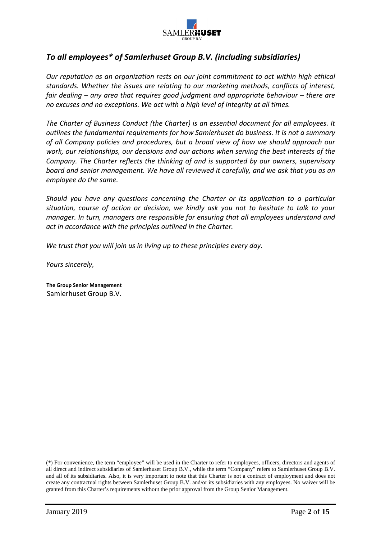

### *To all employees\* of Samlerhuset Group B.V. (including subsidiaries)*

*Our reputation as an organization rests on our joint commitment to act within high ethical standards. Whether the issues are relating to our marketing methods, conflicts of interest, fair dealing – any area that requires good judgment and appropriate behaviour – there are no excuses and no exceptions. We act with a high level of integrity at all times.* 

*The Charter of Business Conduct (the Charter) is an essential document for all employees. It outlines the fundamental requirements for how Samlerhuset do business. It is not a summary of all Company policies and procedures, but a broad view of how we should approach our work, our relationships, our decisions and our actions when serving the best interests of the Company. The Charter reflects the thinking of and is supported by our owners, supervisory board and senior management. We have all reviewed it carefully, and we ask that you as an employee do the same.* 

*Should you have any questions concerning the Charter or its application to a particular situation, course of action or decision, we kindly ask you not to hesitate to talk to your manager. In turn, managers are responsible for ensuring that all employees understand and act in accordance with the principles outlined in the Charter.* 

*We trust that you will join us in living up to these principles every day.* 

*Yours sincerely,* 

**The Group Senior Management**  Samlerhuset Group B.V.

(\*) For convenience, the term "employee" will be used in the Charter to refer to employees, officers, directors and agents of all direct and indirect subsidiaries of Samlerhuset Group B.V., while the term "Company" refers to Samlerhuset Group B.V. and all of its subsidiaries. Also, it is very important to note that this Charter is not a contract of employment and does not create any contractual rights between Samlerhuset Group B.V. and/or its subsidiaries with any employees. No waiver will be granted from this Charter's requirements without the prior approval from the Group Senior Management.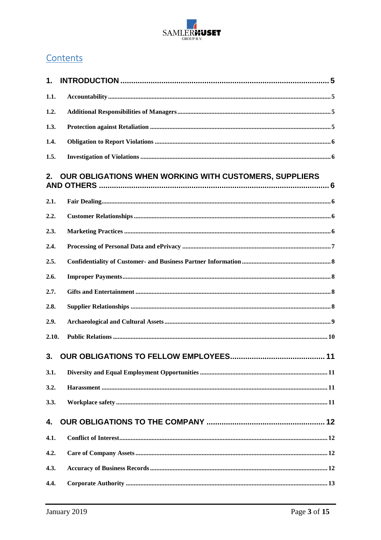

### Contents

| 1.    |                                                        |
|-------|--------------------------------------------------------|
| 1.1.  |                                                        |
| 1.2.  |                                                        |
| 1.3.  |                                                        |
| 1.4.  |                                                        |
| 1.5.  |                                                        |
| 2.    | OUR OBLIGATIONS WHEN WORKING WITH CUSTOMERS, SUPPLIERS |
| 2.1.  |                                                        |
| 2.2.  |                                                        |
| 2.3.  |                                                        |
| 2.4.  |                                                        |
| 2.5.  |                                                        |
| 2.6.  |                                                        |
| 2.7.  |                                                        |
| 2.8.  |                                                        |
| 2.9.  |                                                        |
| 2.10. |                                                        |
| 3.    |                                                        |
| 3.1.  |                                                        |
| 3.2.  |                                                        |
| 3.3.  |                                                        |
| 4.    |                                                        |
| 4.1.  |                                                        |
| 4.2.  |                                                        |
| 4.3.  |                                                        |
| 4.4.  |                                                        |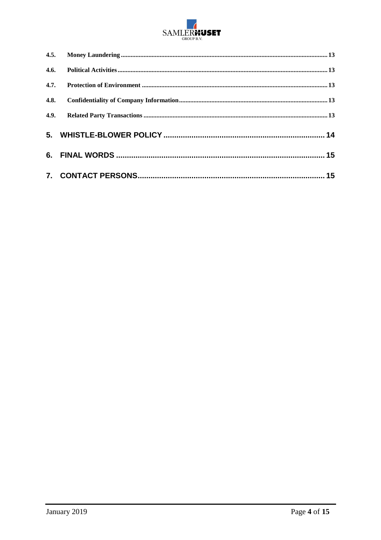

| 4.6. |  |
|------|--|
| 4.7. |  |
| 4.8. |  |
| 4.9. |  |
|      |  |
|      |  |
|      |  |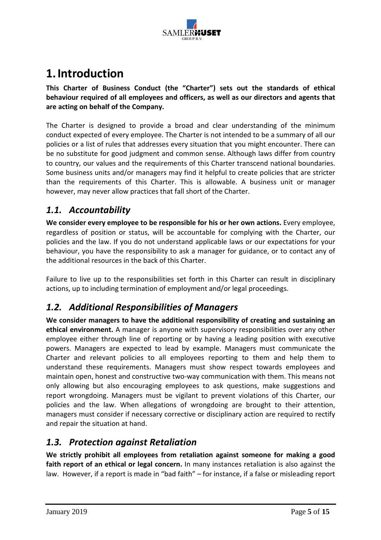

# **1.Introduction**

**This Charter of Business Conduct (the "Charter") sets out the standards of ethical behaviour required of all employees and officers, as well as our directors and agents that are acting on behalf of the Company.** 

The Charter is designed to provide a broad and clear understanding of the minimum conduct expected of every employee. The Charter is not intended to be a summary of all our policies or a list of rules that addresses every situation that you might encounter. There can be no substitute for good judgment and common sense. Although laws differ from country to country, our values and the requirements of this Charter transcend national boundaries. Some business units and/or managers may find it helpful to create policies that are stricter than the requirements of this Charter. This is allowable. A business unit or manager however, may never allow practices that fall short of the Charter.

### *1.1. Accountability*

**We consider every employee to be responsible for his or her own actions.** Every employee, regardless of position or status, will be accountable for complying with the Charter, our policies and the law. If you do not understand applicable laws or our expectations for your behaviour, you have the responsibility to ask a manager for guidance, or to contact any of the additional resources in the back of this Charter.

Failure to live up to the responsibilities set forth in this Charter can result in disciplinary actions, up to including termination of employment and/or legal proceedings.

### *1.2. Additional Responsibilities of Managers*

**We consider managers to have the additional responsibility of creating and sustaining an ethical environment.** A manager is anyone with supervisory responsibilities over any other employee either through line of reporting or by having a leading position with executive powers. Managers are expected to lead by example. Managers must communicate the Charter and relevant policies to all employees reporting to them and help them to understand these requirements. Managers must show respect towards employees and maintain open, honest and constructive two-way communication with them. This means not only allowing but also encouraging employees to ask questions, make suggestions and report wrongdoing. Managers must be vigilant to prevent violations of this Charter, our policies and the law. When allegations of wrongdoing are brought to their attention, managers must consider if necessary corrective or disciplinary action are required to rectify and repair the situation at hand.

### *1.3. Protection against Retaliation*

**We strictly prohibit all employees from retaliation against someone for making a good faith report of an ethical or legal concern.** In many instances retaliation is also against the law. However, if a report is made in "bad faith" – for instance, if a false or misleading report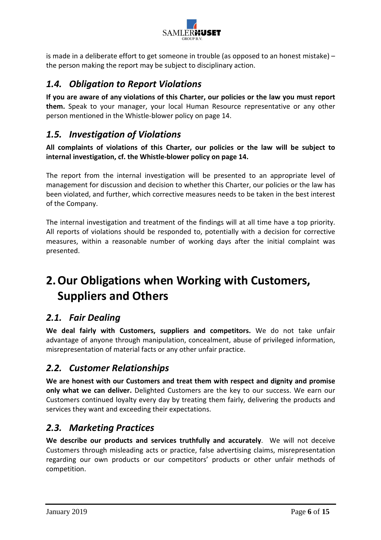

is made in a deliberate effort to get someone in trouble (as opposed to an honest mistake) – the person making the report may be subject to disciplinary action.

### *1.4. Obligation to Report Violations*

**If you are aware of any violations of this Charter, our policies or the law you must report them.** Speak to your manager, your local Human Resource representative or any other person mentioned in the Whistle-blower policy on page 14.

### *1.5. Investigation of Violations*

**All complaints of violations of this Charter, our policies or the law will be subject to internal investigation, cf. the Whistle-blower policy on page 14.** 

The report from the internal investigation will be presented to an appropriate level of management for discussion and decision to whether this Charter, our policies or the law has been violated, and further, which corrective measures needs to be taken in the best interest of the Company.

The internal investigation and treatment of the findings will at all time have a top priority. All reports of violations should be responded to, potentially with a decision for corrective measures, within a reasonable number of working days after the initial complaint was presented.

# **2.Our Obligations when Working with Customers, Suppliers and Others**

### *2.1. Fair Dealing*

**We deal fairly with Customers, suppliers and competitors.** We do not take unfair advantage of anyone through manipulation, concealment, abuse of privileged information, misrepresentation of material facts or any other unfair practice.

### *2.2. Customer Relationships*

**We are honest with our Customers and treat them with respect and dignity and promise only what we can deliver.** Delighted Customers are the key to our success. We earn our Customers continued loyalty every day by treating them fairly, delivering the products and services they want and exceeding their expectations.

### *2.3. Marketing Practices*

**We describe our products and services truthfully and accurately**. We will not deceive Customers through misleading acts or practice, false advertising claims, misrepresentation regarding our own products or our competitors' products or other unfair methods of competition.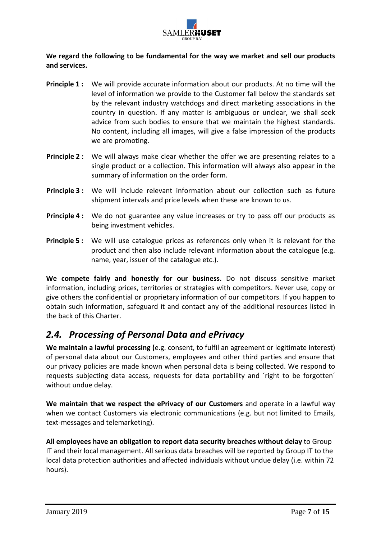

**We regard the following to be fundamental for the way we market and sell our products and services.**

- **Principle 1 :** We will provide accurate information about our products. At no time will the level of information we provide to the Customer fall below the standards set by the relevant industry watchdogs and direct marketing associations in the country in question. If any matter is ambiguous or unclear, we shall seek advice from such bodies to ensure that we maintain the highest standards. No content, including all images, will give a false impression of the products we are promoting.
- **Principle 2 :** We will always make clear whether the offer we are presenting relates to a single product or a collection. This information will always also appear in the summary of information on the order form.
- **Principle 3 :** We will include relevant information about our collection such as future shipment intervals and price levels when these are known to us.
- **Principle 4 :** We do not guarantee any value increases or try to pass off our products as being investment vehicles.
- **Principle 5 :** We will use catalogue prices as references only when it is relevant for the product and then also include relevant information about the catalogue (e.g. name, year, issuer of the catalogue etc.).

**We compete fairly and honestly for our business.** Do not discuss sensitive market information, including prices, territories or strategies with competitors. Never use, copy or give others the confidential or proprietary information of our competitors. If you happen to obtain such information, safeguard it and contact any of the additional resources listed in the back of this Charter.

### *2.4. Processing of Personal Data and ePrivacy*

**We maintain a lawful processing (**e.g. consent, to fulfil an agreement or legitimate interest) of personal data about our Customers, employees and other third parties and ensure that our privacy policies are made known when personal data is being collected. We respond to requests subjecting data access, requests for data portability and ´right to be forgotten´ without undue delay.

**We maintain that we respect the ePrivacy of our Customers** and operate in a lawful way when we contact Customers via electronic communications (e.g. but not limited to Emails, text-messages and telemarketing).

**All employees have an obligation to report data security breaches without delay** to Group IT and their local management. All serious data breaches will be reported by Group IT to the local data protection authorities and affected individuals without undue delay (i.e. within 72 hours).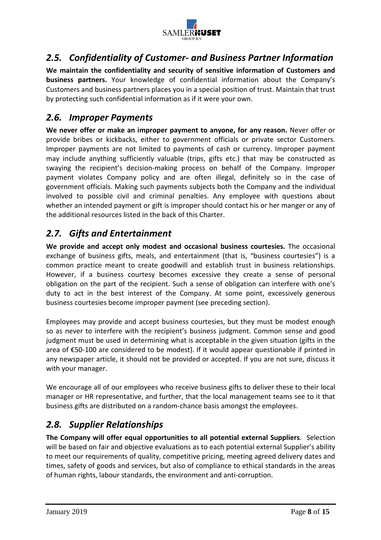

### *2.5. Confidentiality of Customer- and Business Partner Information*

**We maintain the confidentiality and security of sensitive information of Customers and business partners.** Your knowledge of confidential information about the Company's Customers and business partners places you in a special position of trust. Maintain that trust by protecting such confidential information as if it were your own.

### *2.6. Improper Payments*

**We never offer or make an improper payment to anyone, for any reason.** Never offer or provide bribes or kickbacks, either to government officials or private sector Customers. Improper payments are not limited to payments of cash or currency. Improper payment may include anything sufficiently valuable (trips, gifts etc.) that may be constructed as swaying the recipient's decision-making process on behalf of the Company. Improper payment violates Company policy and are often illegal, definitely so in the case of government officials. Making such payments subjects both the Company and the individual involved to possible civil and criminal penalties. Any employee with questions about whether an intended payment or gift is improper should contact his or her manger or any of the additional resources listed in the back of this Charter.

### *2.7. Gifts and Entertainment*

**We provide and accept only modest and occasional business courtesies.** The occasional exchange of business gifts, meals, and entertainment (that is, "business courtesies") is a common practice meant to create goodwill and establish trust in business relationships. However, if a business courtesy becomes excessive they create a sense of personal obligation on the part of the recipient. Such a sense of obligation can interfere with one's duty to act in the best interest of the Company. At some point, excessively generous business courtesies become improper payment (see preceding section).

Employees may provide and accept business courtesies, but they must be modest enough so as never to interfere with the recipient's business judgment. Common sense and good judgment must be used in determining what is acceptable in the given situation (gifts in the area of €50-100 are considered to be modest). If it would appear questionable if printed in any newspaper article, it should not be provided or accepted. If you are not sure, discuss it with your manager.

We encourage all of our employees who receive business gifts to deliver these to their local manager or HR representative, and further, that the local management teams see to it that business gifts are distributed on a random-chance basis amongst the employees.

### *2.8. Supplier Relationships*

**The Company will offer equal opportunities to all potential external Suppliers**. Selection will be based on fair and objective evaluations as to each potential external Supplier's ability to meet our requirements of quality, competitive pricing, meeting agreed delivery dates and times, safety of goods and services, but also of compliance to ethical standards in the areas of human rights, labour standards, the environment and anti-corruption.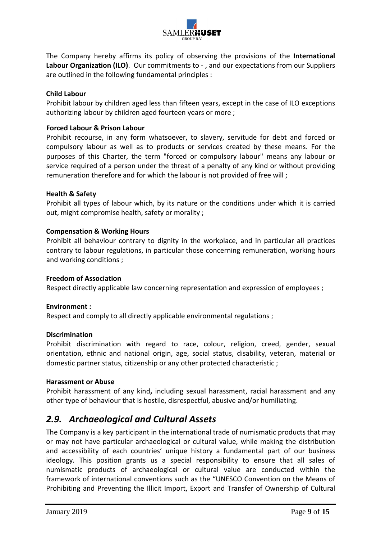

The Company hereby affirms its policy of observing the provisions of the **International Labour Organization (ILO)**. Our commitments to - , and our expectations from our Suppliers are outlined in the following fundamental principles :

#### **Child Labour**

Prohibit labour by children aged less than fifteen years, except in the case of ILO exceptions authorizing labour by children aged fourteen years or more ;

#### **Forced Labour & Prison Labour**

Prohibit recourse, in any form whatsoever, to slavery, servitude for debt and forced or compulsory labour as well as to products or services created by these means. For the purposes of this Charter, the term "forced or compulsory labour" means any labour or service required of a person under the threat of a penalty of any kind or without providing remuneration therefore and for which the labour is not provided of free will ;

#### **Health & Safety**

Prohibit all types of labour which, by its nature or the conditions under which it is carried out, might compromise health, safety or morality ;

#### **Compensation & Working Hours**

Prohibit all behaviour contrary to dignity in the workplace, and in particular all practices contrary to labour regulations, in particular those concerning remuneration, working hours and working conditions ;

#### **Freedom of Association**

Respect directly applicable law concerning representation and expression of employees ;

#### **Environment :**

Respect and comply to all directly applicable environmental regulations ;

#### **Discrimination**

Prohibit discrimination with regard to race, colour, religion, creed, gender, sexual orientation, ethnic and national origin, age, social status, disability, veteran, material or domestic partner status, citizenship or any other protected characteristic ;

#### **Harassment or Abuse**

Prohibit harassment of any kind**,** including sexual harassment, racial harassment and any other type of behaviour that is hostile, disrespectful, abusive and/or humiliating.

### *2.9. Archaeological and Cultural Assets*

The Company is a key participant in the international trade of numismatic products that may or may not have particular archaeological or cultural value, while making the distribution and accessibility of each countries' unique history a fundamental part of our business ideology. This position grants us a special responsibility to ensure that all sales of numismatic products of archaeological or cultural value are conducted within the framework of international conventions such as the "UNESCO Convention on the Means of Prohibiting and Preventing the Illicit Import, Export and Transfer of Ownership of Cultural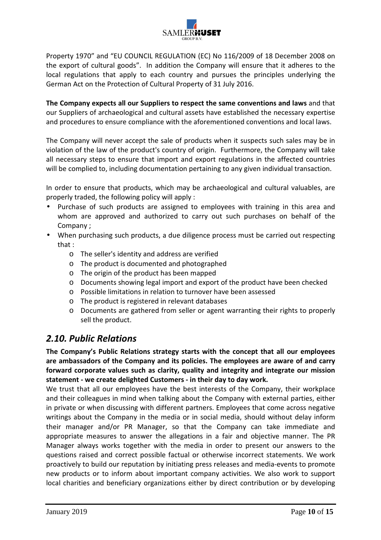

Property 1970" and "EU COUNCIL REGULATION (EC) No 116/2009 of 18 December 2008 on the export of cultural goods". In addition the Company will ensure that it adheres to the local regulations that apply to each country and pursues the principles underlying the German Act on the Protection of Cultural Property of 31 July 2016.

**The Company expects all our Suppliers to respect the same conventions and laws** and that our Suppliers of archaeological and cultural assets have established the necessary expertise and procedures to ensure compliance with the aforementioned conventions and local laws.

The Company will never accept the sale of products when it suspects such sales may be in violation of the law of the product's country of origin. Furthermore, the Company will take all necessary steps to ensure that import and export regulations in the affected countries will be complied to, including documentation pertaining to any given individual transaction.

In order to ensure that products, which may be archaeological and cultural valuables, are properly traded, the following policy will apply :

- Purchase of such products are assigned to employees with training in this area and whom are approved and authorized to carry out such purchases on behalf of the Company ;
- When purchasing such products, a due diligence process must be carried out respecting that :
	- o The seller's identity and address are verified
	- o The product is documented and photographed
	- o The origin of the product has been mapped
	- o Documents showing legal import and export of the product have been checked
	- o Possible limitations in relation to turnover have been assessed
	- o The product is registered in relevant databases
	- o Documents are gathered from seller or agent warranting their rights to properly sell the product.

### *2.10. Public Relations*

**The Company's Public Relations strategy starts with the concept that all our employees are ambassadors of the Company and its policies. The employees are aware of and carry forward corporate values such as clarity, quality and integrity and integrate our mission statement - we create delighted Customers - in their day to day work.** 

We trust that all our employees have the best interests of the Company, their workplace and their colleagues in mind when talking about the Company with external parties, either in private or when discussing with different partners. Employees that come across negative writings about the Company in the media or in social media, should without delay inform their manager and/or PR Manager, so that the Company can take immediate and appropriate measures to answer the allegations in a fair and objective manner. The PR Manager always works together with the media in order to present our answers to the questions raised and correct possible factual or otherwise incorrect statements. We work proactively to build our reputation by initiating press releases and media-events to promote new products or to inform about important company activities. We also work to support local charities and beneficiary organizations either by direct contribution or by developing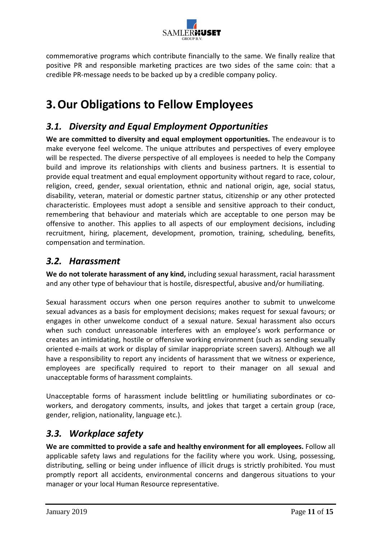

commemorative programs which contribute financially to the same. We finally realize that positive PR and responsible marketing practices are two sides of the same coin: that a credible PR-message needs to be backed up by a credible company policy.

# **3.Our Obligations to Fellow Employees**

### *3.1. Diversity and Equal Employment Opportunities*

**We are committed to diversity and equal employment opportunities.** The endeavour is to make everyone feel welcome. The unique attributes and perspectives of every employee will be respected. The diverse perspective of all employees is needed to help the Company build and improve its relationships with clients and business partners. It is essential to provide equal treatment and equal employment opportunity without regard to race, colour, religion, creed, gender, sexual orientation, ethnic and national origin, age, social status, disability, veteran, material or domestic partner status, citizenship or any other protected characteristic. Employees must adopt a sensible and sensitive approach to their conduct, remembering that behaviour and materials which are acceptable to one person may be offensive to another. This applies to all aspects of our employment decisions, including recruitment, hiring, placement, development, promotion, training, scheduling, benefits, compensation and termination.

### *3.2. Harassment*

**We do not tolerate harassment of any kind,** including sexual harassment, racial harassment and any other type of behaviour that is hostile, disrespectful, abusive and/or humiliating.

Sexual harassment occurs when one person requires another to submit to unwelcome sexual advances as a basis for employment decisions; makes request for sexual favours; or engages in other unwelcome conduct of a sexual nature. Sexual harassment also occurs when such conduct unreasonable interferes with an employee's work performance or creates an intimidating, hostile or offensive working environment (such as sending sexually oriented e-mails at work or display of similar inappropriate screen savers). Although we all have a responsibility to report any incidents of harassment that we witness or experience, employees are specifically required to report to their manager on all sexual and unacceptable forms of harassment complaints.

Unacceptable forms of harassment include belittling or humiliating subordinates or coworkers, and derogatory comments, insults, and jokes that target a certain group (race, gender, religion, nationality, language etc.).

### *3.3. Workplace safety*

**We are committed to provide a safe and healthy environment for all employees.** Follow all applicable safety laws and regulations for the facility where you work. Using, possessing, distributing, selling or being under influence of illicit drugs is strictly prohibited. You must promptly report all accidents, environmental concerns and dangerous situations to your manager or your local Human Resource representative.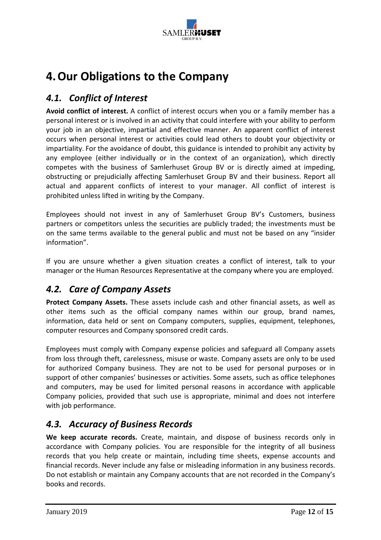

# **4.Our Obligations to the Company**

### *4.1. Conflict of Interest*

**Avoid conflict of interest.** A conflict of interest occurs when you or a family member has a personal interest or is involved in an activity that could interfere with your ability to perform your job in an objective, impartial and effective manner. An apparent conflict of interest occurs when personal interest or activities could lead others to doubt your objectivity or impartiality. For the avoidance of doubt, this guidance is intended to prohibit any activity by any employee (either individually or in the context of an organization), which directly competes with the business of Samlerhuset Group BV or is directly aimed at impeding, obstructing or prejudicially affecting Samlerhuset Group BV and their business. Report all actual and apparent conflicts of interest to your manager. All conflict of interest is prohibited unless lifted in writing by the Company.

Employees should not invest in any of Samlerhuset Group BV's Customers, business partners or competitors unless the securities are publicly traded; the investments must be on the same terms available to the general public and must not be based on any "insider information".

If you are unsure whether a given situation creates a conflict of interest, talk to your manager or the Human Resources Representative at the company where you are employed.

### *4.2. Care of Company Assets*

**Protect Company Assets.** These assets include cash and other financial assets, as well as other items such as the official company names within our group, brand names, information, data held or sent on Company computers, supplies, equipment, telephones, computer resources and Company sponsored credit cards.

Employees must comply with Company expense policies and safeguard all Company assets from loss through theft, carelessness, misuse or waste. Company assets are only to be used for authorized Company business. They are not to be used for personal purposes or in support of other companies' businesses or activities. Some assets, such as office telephones and computers, may be used for limited personal reasons in accordance with applicable Company policies, provided that such use is appropriate, minimal and does not interfere with job performance.

### *4.3. Accuracy of Business Records*

**We keep accurate records.** Create, maintain, and dispose of business records only in accordance with Company policies. You are responsible for the integrity of all business records that you help create or maintain, including time sheets, expense accounts and financial records. Never include any false or misleading information in any business records. Do not establish or maintain any Company accounts that are not recorded in the Company's books and records.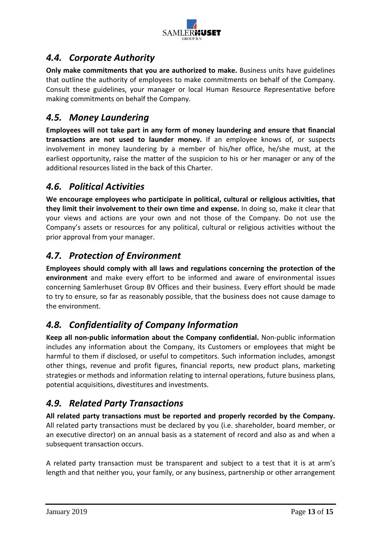

### *4.4. Corporate Authority*

**Only make commitments that you are authorized to make.** Business units have guidelines that outline the authority of employees to make commitments on behalf of the Company. Consult these guidelines, your manager or local Human Resource Representative before making commitments on behalf the Company.

### *4.5. Money Laundering*

**Employees will not take part in any form of money laundering and ensure that financial transactions are not used to launder money.** If an employee knows of, or suspects involvement in money laundering by a member of his/her office, he/she must, at the earliest opportunity, raise the matter of the suspicion to his or her manager or any of the additional resources listed in the back of this Charter.

### *4.6. Political Activities*

**We encourage employees who participate in political, cultural or religious activities, that they limit their involvement to their own time and expense.** In doing so, make it clear that your views and actions are your own and not those of the Company. Do not use the Company's assets or resources for any political, cultural or religious activities without the prior approval from your manager.

### *4.7. Protection of Environment*

**Employees should comply with all laws and regulations concerning the protection of the environment** and make every effort to be informed and aware of environmental issues concerning Samlerhuset Group BV Offices and their business. Every effort should be made to try to ensure, so far as reasonably possible, that the business does not cause damage to the environment.

### *4.8. Confidentiality of Company Information*

**Keep all non-public information about the Company confidential.** Non-public information includes any information about the Company, its Customers or employees that might be harmful to them if disclosed, or useful to competitors. Such information includes, amongst other things, revenue and profit figures, financial reports, new product plans, marketing strategies or methods and information relating to internal operations, future business plans, potential acquisitions, divestitures and investments.

### *4.9. Related Party Transactions*

**All related party transactions must be reported and properly recorded by the Company.**  All related party transactions must be declared by you (i.e. shareholder, board member, or an executive director) on an annual basis as a statement of record and also as and when a subsequent transaction occurs.

A related party transaction must be transparent and subject to a test that it is at arm's length and that neither you, your family, or any business, partnership or other arrangement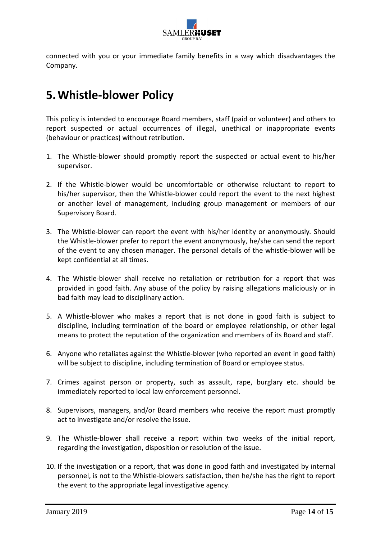

connected with you or your immediate family benefits in a way which disadvantages the Company.

# **5.Whistle-blower Policy**

This policy is intended to encourage Board members, staff (paid or volunteer) and others to report suspected or actual occurrences of illegal, unethical or inappropriate events (behaviour or practices) without retribution.

- 1. The Whistle-blower should promptly report the suspected or actual event to his/her supervisor.
- 2. If the Whistle-blower would be uncomfortable or otherwise reluctant to report to his/her supervisor, then the Whistle-blower could report the event to the next highest or another level of management, including group management or members of our Supervisory Board.
- 3. The Whistle-blower can report the event with his/her identity or anonymously*.* Should the Whistle-blower prefer to report the event anonymously, he/she can send the report of the event to any chosen manager. The personal details of the whistle-blower will be kept confidential at all times.
- 4. The Whistle-blower shall receive no retaliation or retribution for a report that was provided in good faith. Any abuse of the policy by raising allegations maliciously or in bad faith may lead to disciplinary action.
- 5. A Whistle-blower who makes a report that is not done in good faith is subject to discipline, including termination of the board or employee relationship, or other legal means to protect the reputation of the organization and members of its Board and staff.
- 6. Anyone who retaliates against the Whistle-blower (who reported an event in good faith) will be subject to discipline, including termination of Board or employee status.
- 7. Crimes against person or property, such as assault, rape, burglary etc. should be immediately reported to local law enforcement personnel.
- 8. Supervisors, managers, and/or Board members who receive the report must promptly act to investigate and/or resolve the issue.
- 9. The Whistle-blower shall receive a report within two weeks of the initial report, regarding the investigation, disposition or resolution of the issue.
- 10. If the investigation or a report, that was done in good faith and investigated by internal personnel, is not to the Whistle-blowers satisfaction, then he/she has the right to report the event to the appropriate legal investigative agency.